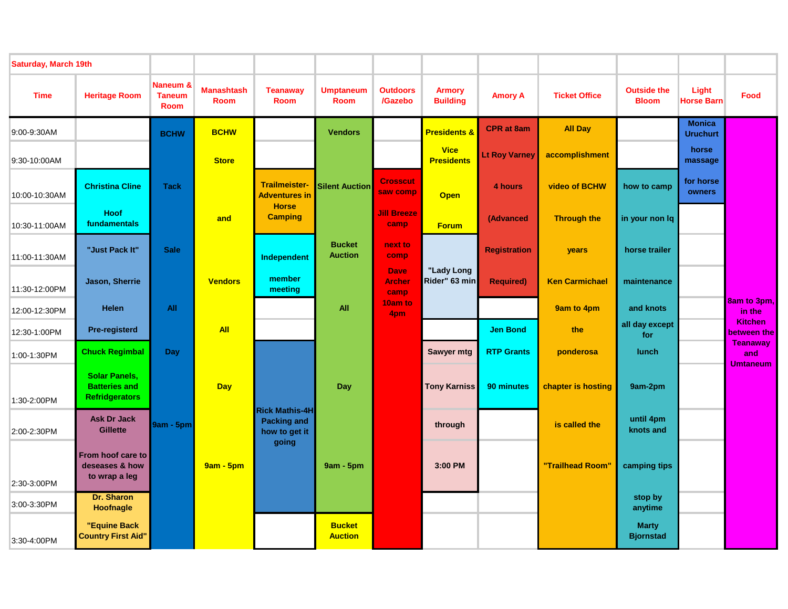| <b>Saturday, March 19th</b> |                                                                       |                                          |                                  |                                                              |                                 |                                      |                                  |                      |                       |                                    |                                  |                               |
|-----------------------------|-----------------------------------------------------------------------|------------------------------------------|----------------------------------|--------------------------------------------------------------|---------------------------------|--------------------------------------|----------------------------------|----------------------|-----------------------|------------------------------------|----------------------------------|-------------------------------|
| <b>Time</b>                 | <b>Heritage Room</b>                                                  | Naneum &<br><b>Taneum</b><br><b>Room</b> | <b>Manashtash</b><br><b>Room</b> | <b>Teanaway</b><br><b>Room</b>                               | <b>Umptaneum</b><br><b>Room</b> | <b>Outdoors</b><br>/Gazebo           | <b>Armory</b><br><b>Building</b> | <b>Amory A</b>       | <b>Ticket Office</b>  | <b>Outside the</b><br><b>Bloom</b> | Light<br><b>Horse Barn</b>       | Food                          |
| 9:00-9:30AM                 |                                                                       | <b>BCHW</b>                              | <b>BCHW</b>                      |                                                              | <b>Vendors</b>                  |                                      | <b>Presidents &amp;</b>          | <b>CPR</b> at 8am    | <b>All Day</b>        |                                    | <b>Monica</b><br><b>Uruchurt</b> |                               |
| 9:30-10:00AM                |                                                                       |                                          | <b>Store</b>                     |                                                              |                                 |                                      | <b>Vice</b><br><b>Presidents</b> | <b>Lt Roy Varney</b> | accomplishment        |                                    | horse<br>massage                 |                               |
| 10:00-10:30AM               | <b>Christina Cline</b>                                                | <b>Tack</b>                              |                                  | Trailmeister-<br><b>Adventures in</b>                        | <b>Silent Auction</b>           | <b>Crosscut</b><br>saw comp          | <b>Open</b>                      | 4 hours              | video of BCHW         | how to camp                        | for horse<br>owners              |                               |
| 10:30-11:00AM               | Hoof<br>fundamentals                                                  |                                          | and                              | <b>Horse</b><br><b>Camping</b>                               |                                 | <b>Jill Breeze</b><br>camp           | <b>Forum</b>                     | (Advanced            | <b>Through the</b>    | in your non lq                     |                                  |                               |
| 11:00-11:30AM               | "Just Pack It"                                                        | <b>Sale</b>                              |                                  | Independent                                                  | <b>Bucket</b><br><b>Auction</b> | next to<br>comp                      |                                  | <b>Registration</b>  | years                 | horse trailer                      |                                  |                               |
| 11:30-12:00PM               | Jason, Sherrie                                                        |                                          | <b>Vendors</b>                   | member<br>meeting                                            |                                 | <b>Dave</b><br><b>Archer</b><br>camp | "Lady Long<br>Rider" 63 min      | <b>Required)</b>     | <b>Ken Carmichael</b> | maintenance                        |                                  |                               |
| 12:00-12:30PM               | <b>Helen</b>                                                          | All                                      |                                  |                                                              | <b>All</b>                      | 10am to<br>4pm                       |                                  |                      | 9am to 4pm            | and knots                          |                                  | 8am to 3pm,<br>in the         |
| 12:30-1:00PM                | Pre-registerd                                                         |                                          | <b>All</b>                       |                                                              |                                 |                                      |                                  | <b>Jen Bond</b>      | the                   | all day except<br>for              |                                  | <b>Kitchen</b><br>between the |
| 1:00-1:30PM                 | <b>Chuck Regimbal</b>                                                 | <b>Day</b>                               |                                  |                                                              |                                 |                                      | Sawyer mtg                       | <b>RTP Grants</b>    | ponderosa             | <b>lunch</b>                       |                                  | <b>Teanaway</b><br>and        |
| 1:30-2:00PM                 | <b>Solar Panels.</b><br><b>Batteries and</b><br><b>Refridgerators</b> |                                          | <b>Day</b>                       |                                                              | Day                             |                                      | <b>Tony Karniss</b>              | 90 minutes           | chapter is hosting    | 9am-2pm                            |                                  | <b>Umtaneum</b>               |
| 2:00-2:30PM                 | <b>Ask Dr Jack</b><br><b>Gillette</b>                                 | <b>9am - 5pm</b>                         |                                  | <b>Rick Mathis-4H</b><br><b>Packing and</b><br>how to get it |                                 |                                      | through                          |                      | is called the         | until 4pm<br>knots and             |                                  |                               |
| 2:30-3:00PM                 | From hoof care to<br>deseases & how<br>to wrap a leg                  |                                          | <b>9am - 5pm</b>                 | going                                                        | $9am - 5pm$                     |                                      | 3:00 PM                          |                      | "Trailhead Room"      | camping tips                       |                                  |                               |
| 3:00-3:30PM                 | Dr. Sharon<br><b>Hoofnagle</b>                                        |                                          |                                  |                                                              |                                 |                                      |                                  |                      |                       | stop by<br>anytime                 |                                  |                               |
| 3:30-4:00PM                 | "Equine Back<br><b>Country First Aid"</b>                             |                                          |                                  |                                                              | <b>Bucket</b><br><b>Auction</b> |                                      |                                  |                      |                       | <b>Marty</b><br><b>Bjornstad</b>   |                                  |                               |